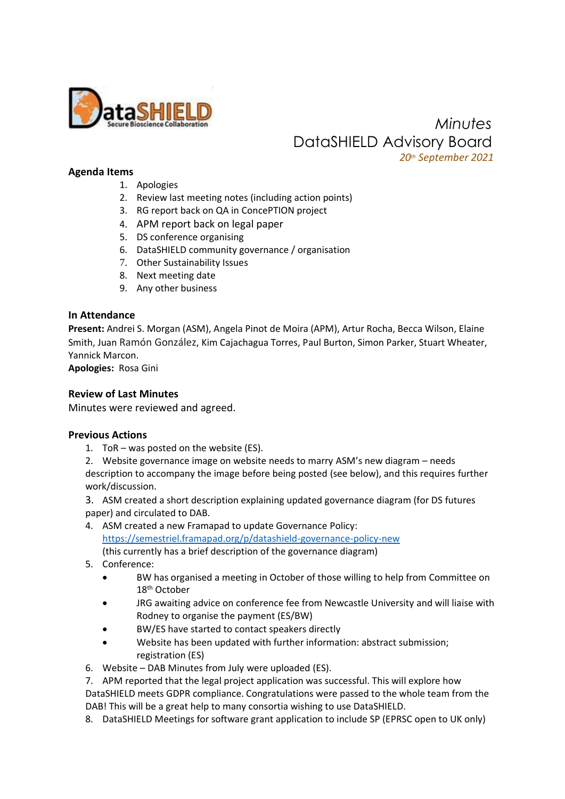

 *Minutes* DataSHIELD Advisory Board  *20th September 2021*

### **Agenda Items**

- 1. Apologies
- 2. Review last meeting notes (including action points)
- 3. RG report back on QA in ConcePTION project
- 4. APM report back on legal paper
- 5. DS conference organising
- 6. DataSHIELD community governance / organisation
- 7. Other Sustainability Issues
- 8. Next meeting date
- 9. Any other business

### **In Attendance**

**Present:** Andrei S. Morgan (ASM), Angela Pinot de Moira (APM), Artur Rocha, Becca Wilson, Elaine Smith, Juan Ramón González, Kim Cajachagua Torres, Paul Burton, Simon Parker, Stuart Wheater, Yannick Marcon.

**Apologies:** Rosa Gini

#### **Review of Last Minutes**

Minutes were reviewed and agreed.

#### **Previous Actions**

1. ToR – was posted on the website (ES).

2. Website governance image on website needs to marry ASM's new diagram – needs description to accompany the image before being posted (see below), and this requires further work/discussion.

3. ASM created a short description explaining updated governance diagram (for DS futures paper) and circulated to DAB.

4. ASM created a new Framapad to update Governance Policy: <https://semestriel.framapad.org/p/datashield-governance-policy-new>

(this currently has a brief description of the governance diagram)

- 5. Conference:
	- BW has organised a meeting in October of those willing to help from Committee on 18<sup>th</sup> October
	- JRG awaiting advice on conference fee from Newcastle University and will liaise with Rodney to organise the payment (ES/BW)
	- BW/ES have started to contact speakers directly
	- Website has been updated with further information: abstract submission; registration (ES)
- 6. Website DAB Minutes from July were uploaded (ES).

7. APM reported that the legal project application was successful. This will explore how DataSHIELD meets GDPR compliance. Congratulations were passed to the whole team from the DAB! This will be a great help to many consortia wishing to use DataSHIELD.

8. DataSHIELD Meetings for software grant application to include SP (EPRSC open to UK only)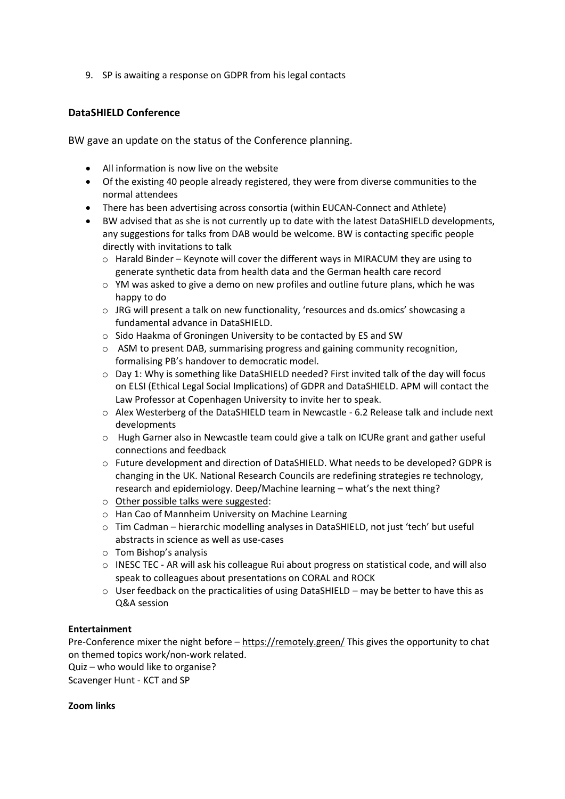9. SP is awaiting a response on GDPR from his legal contacts

# **DataSHIELD Conference**

BW gave an update on the status of the Conference planning.

- All information is now live on the website
- Of the existing 40 people already registered, they were from diverse communities to the normal attendees
- There has been advertising across consortia (within EUCAN-Connect and Athlete)
- BW advised that as she is not currently up to date with the latest DataSHIELD developments, any suggestions for talks from DAB would be welcome. BW is contacting specific people directly with invitations to talk
	- o Harald Binder Keynote will cover the different ways in MIRACUM they are using to generate synthetic data from health data and the German health care record
	- $\circ$  YM was asked to give a demo on new profiles and outline future plans, which he was happy to do
	- $\circ$  JRG will present a talk on new functionality, 'resources and ds.omics' showcasing a fundamental advance in DataSHIELD.
	- o Sido Haakma of Groningen University to be contacted by ES and SW
	- $\circ$  ASM to present DAB, summarising progress and gaining community recognition, formalising PB's handover to democratic model.
	- o Day 1: Why is something like DataSHIELD needed? First invited talk of the day will focus on ELSI (Ethical Legal Social Implications) of GDPR and DataSHIELD. APM will contact the Law Professor at Copenhagen University to invite her to speak.
	- $\circ$  Alex Westerberg of the DataSHIELD team in Newcastle 6.2 Release talk and include next developments
	- o Hugh Garner also in Newcastle team could give a talk on ICURe grant and gather useful connections and feedback
	- o Future development and direction of DataSHIELD. What needs to be developed? GDPR is changing in the UK. National Research Councils are redefining strategies re technology, research and epidemiology. Deep/Machine learning – what's the next thing?
	- o Other possible talks were suggested:
	- o Han Cao of Mannheim University on Machine Learning
	- $\circ$  Tim Cadman hierarchic modelling analyses in DataSHIELD, not just 'tech' but useful abstracts in science as well as use-cases
	- o Tom Bishop's analysis
	- o INESC TEC AR will ask his colleague Rui about progress on statistical code, and will also speak to colleagues about presentations on CORAL and ROCK
	- $\circ$  User feedback on the practicalities of using DataSHIELD may be better to have this as Q&A session

# **Entertainment**

Pre-Conference mixer the night before – <https://remotely.green/> This gives the opportunity to chat on themed topics work/non-work related.

Quiz – who would like to organise?

Scavenger Hunt - KCT and SP

# **Zoom links**